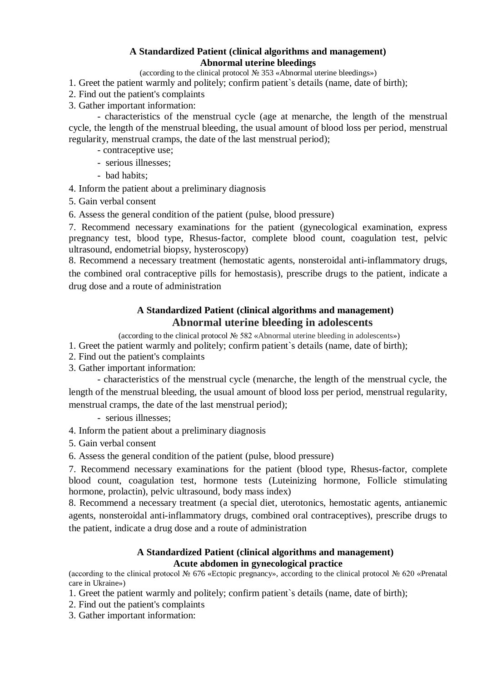### **A Standardized Patient (clinical algorithms and management) Abnormal uterine bleedings**

(according to the clinical protocol № 353 «Abnormal uterine bleedings»)

- 1. Greet the patient warmly and politely; confirm patient`s details (name, date of birth);
- 2. Find out the patient's complaints
- 3. Gather important information:

- characteristics of the menstrual cycle (age at menarche, the length of the menstrual cycle, the length of the menstrual bleeding, the usual amount of blood loss per period, menstrual regularity, menstrual cramps, the date of the last menstrual period);

- contraceptive use;
- serious illnesses;
- bad habits;

4. Inform the patient about a preliminary diagnosis

5. Gain verbal consent

6. Assess the general condition of the patient (pulse, blood pressure)

7. Recommend necessary examinations for the patient (gynecological examination, express pregnancy test, blood type, Rhesus-factor, complete blood count, coagulation test, pelvic ultrasound, endometrial biopsy, hysteroscopy)

8. Recommend a necessary treatment (hemostatic agents, nonsteroidal anti-inflammatory drugs, the combined oral contraceptive pills for hemostasis), prescribe drugs to the patient, indicate a drug dose and a route of administration

# **A Standardized Patient (clinical algorithms and management) Abnormal uterine bleeding in adolescents**

(according to the clinical protocol № 582 «Abnormal uterine bleeding in adolescents»)

1. Greet the patient warmly and politely; confirm patient`s details (name, date of birth);

- 2. Find out the patient's complaints
- 3. Gather important information:

- characteristics of the menstrual cycle (menarche, the length of the menstrual cycle, the length of the menstrual bleeding, the usual amount of blood loss per period, menstrual regularity, menstrual cramps, the date of the last menstrual period);

- serious illnesses;

- 4. Inform the patient about a preliminary diagnosis
- 5. Gain verbal consent

6. Assess the general condition of the patient (pulse, blood pressure)

7. Recommend necessary examinations for the patient (blood type, Rhesus-factor, complete blood count, coagulation test, hormone tests (Luteinizing hormone, Follicle stimulating hormone, prolactin), pelvic ultrasound, body mass index)

8. Recommend a necessary treatment (a special diet, uterotonics, hemostatic agents, antianemic agents, nonsteroidal anti-inflammatory drugs, combined oral contraceptives), prescribe drugs to the patient, indicate a drug dose and a route of administration

#### **A Standardized Patient (clinical algorithms and management) Acute abdomen in gynecological practice**

(according to the clinical protocol № 676 «Ectopic pregnancy», according to the clinical protocol № 620 «Prenatal care in Ukraine»)

1. Greet the patient warmly and politely; confirm patient`s details (name, date of birth);

- 2. Find out the patient's complaints
- 3. Gather important information: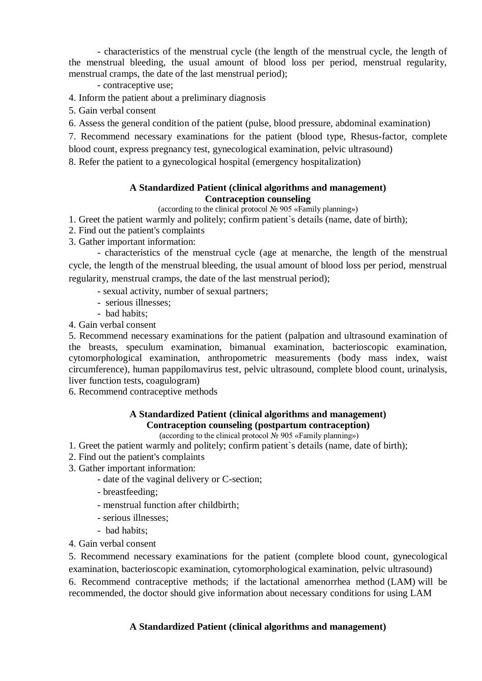- characteristics of the menstrual cycle (the length of the menstrual cycle, the length of the menstrual bleeding, the usual amount of blood loss per period, menstrual regularity, menstrual cramps, the date of the last menstrual period);

- contraceptive use;

4. Inform the patient about a preliminary diagnosis

5. Gain verbal consent

6. Assess the general condition of the patient (pulse, blood pressure, abdominal examination)

7. Recommend necessary examinations for the patient (blood type, Rhesus-factor, complete blood count, express pregnancy test, gynecological examination, pelvic ultrasound)

8. Refer the patient to a gynecological hospital (emergency hospitalization)

#### **A Standardized Patient (clinical algorithms and management) Contraception counseling**

(according to the clinical protocol № 905 «Family planning»)

1. Greet the patient warmly and politely; confirm patient`s details (name, date of birth);

2. Find out the patient's complaints

3. Gather important information:

- characteristics of the menstrual cycle (age at menarche, the length of the menstrual cycle, the length of the menstrual bleeding, the usual amount of blood loss per period, menstrual regularity, menstrual cramps, the date of the last menstrual period);

- sexual activity, number of sexual partners;
- serious illnesses;
- bad habits;

4. Gain verbal consent

5. Recommend necessary examinations for the patient (palpation and ultrasound examination of the breasts, speculum examination, bimanual examination, bacterioscopic examination, cytomorphological examination, anthropometric measurements (body mass index, waist circumference), human pappilomavirus test, pelvic ultrasound, complete blood count, urinalysis, liver function tests, coagulogram)

6. Recommend contraceptive methods

## **A Standardized Patient (clinical algorithms and management) Contraception counseling (postpartum contraception)**

(according to the clinical protocol № 905 «Family planning»)

- 1. Greet the patient warmly and politely; confirm patient`s details (name, date of birth);
- 2. Find out the patient's complaints
- 3. Gather important information:
	- date of the vaginal delivery or C-section;
	- breastfeeding;
	- menstrual function after childbirth;
	- serious illnesses;
	- bad habits;

4. Gain verbal consent

5. Recommend necessary examinations for the patient (complete blood count, gynecological examination, bacterioscopic examination, cytomorphological examination, pelvic ultrasound) 6. Recommend contraceptive methods; if the lactational amenorrhea method (LAM) will be recommended, the doctor should give information about necessary conditions for using LAM

## **A Standardized Patient (clinical algorithms and management)**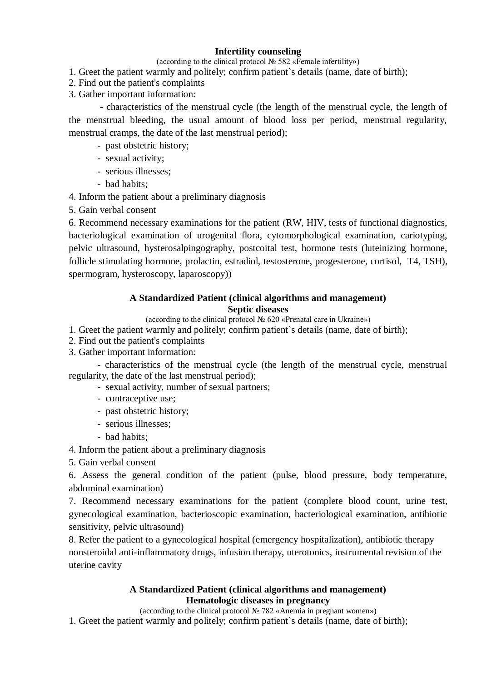# **Infertility counseling**

(according to the clinical protocol № 582 «Female infertility»)

- 1. Greet the patient warmly and politely; confirm patient`s details (name, date of birth);
- 2. Find out the patient's complaints
- 3. Gather important information:

- characteristics of the menstrual cycle (the length of the menstrual cycle, the length of the menstrual bleeding, the usual amount of blood loss per period, menstrual regularity, menstrual cramps, the date of the last menstrual period);

- past obstetric history;
- sexual activity;
- serious illnesses;
- bad habits;

4. Inform the patient about a preliminary diagnosis

5. Gain verbal consent

6. Recommend necessary examinations for the patient (RW, HIV, tests of functional diagnostics, bacteriological examination of urogenital flora, cytomorphological examination, cariotyping, pelvic ultrasound, hysterosalpingography, postcoital test, hormone tests (luteinizing hormone, follicle stimulating hormone, prolactin, estradiol, testosterone, progesterone, cortisol, T4, TSH), spermogram, hysteroscopy, laparoscopy))

## **A Standardized Patient (clinical algorithms and management) Septic diseases**

(according to the clinical protocol № 620 «Prenatal care in Ukraine»)

1. Greet the patient warmly and politely; confirm patient`s details (name, date of birth);

- 2. Find out the patient's complaints
- 3. Gather important information:

- characteristics of the menstrual cycle (the length of the menstrual cycle, menstrual regularity, the date of the last menstrual period);

- sexual activity, number of sexual partners;
- contraceptive use;
- past obstetric history;
- serious illnesses;
- bad habits;

4. Inform the patient about a preliminary diagnosis

5. Gain verbal consent

6. Assess the general condition of the patient (pulse, blood pressure, body temperature, abdominal examination)

7. Recommend necessary examinations for the patient (complete blood count, urine test, gynecological examination, bacterioscopic examination, bacteriological examination, antibiotic sensitivity, pelvic ultrasound)

8. Refer the patient to a gynecological hospital (emergency hospitalization), antibiotic therapy nonsteroidal anti-inflammatory drugs, infusion therapy, uterotonics, instrumental revision of the uterine cavity

## **A Standardized Patient (clinical algorithms and management) Hematologic diseases in pregnancy**

(according to the clinical protocol № 782 «Anemia in pregnant women»)

1. Greet the patient warmly and politely; confirm patient`s details (name, date of birth);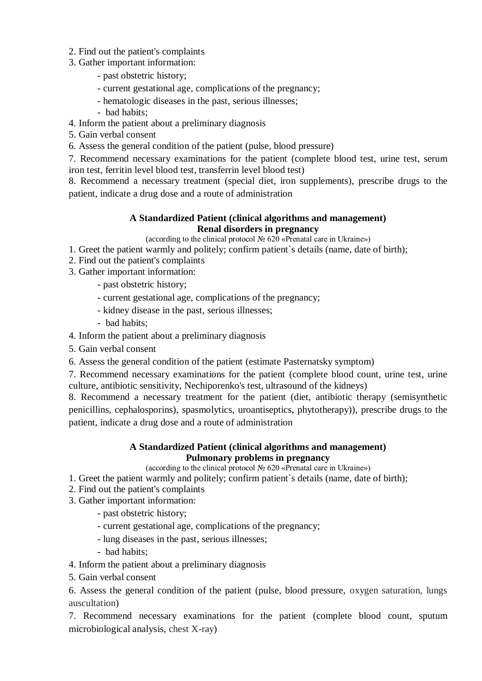- 2. Find out the patient's complaints
- 3. Gather important information:
	- past obstetric history;
	- current gestational age, complications of the pregnancy;
	- hematologic diseases in the past, serious illnesses;
	- bad habits;
- 4. Inform the patient about a preliminary diagnosis
- 5. Gain verbal consent
- 6. Assess the general condition of the patient (pulse, blood pressure)

7. Recommend necessary examinations for the patient (complete blood test, urine test, serum iron test, ferritin level blood test, transferrin level blood test)

8. Recommend a necessary treatment (special diet, iron supplements), prescribe drugs to the patient, indicate a drug dose and a route of administration

#### **A Standardized Patient (clinical algorithms and management) Renal disorders in pregnancy**

(according to the clinical protocol № 620 «Prenatal care in Ukraine»)

- 1. Greet the patient warmly and politely; confirm patient`s details (name, date of birth);
- 2. Find out the patient's complaints
- 3. Gather important information:
	- past obstetric history;
	- current gestational age, complications of the pregnancy;
	- kidney disease in the past, serious illnesses;
	- bad habits;

4. Inform the patient about a preliminary diagnosis

5. Gain verbal consent

6. Assess the general condition of the patient (estimate Pasternatsky symptom)

7. Recommend necessary examinations for the patient (complete blood count, urine test, urine culture, antibiotic sensitivity, Nechiporenko's test, ultrasound of the kidneys)

8. Recommend a necessary treatment for the patient (diet, antibiotic therapy (semisynthetic penicillins, cephalosporins), spasmolytics, uroantiseptics, phytotherapy)), prescribe drugs to the patient, indicate a drug dose and a route of administration

### **A Standardized Patient (clinical algorithms and management) Pulmonary problems in pregnancy**

(according to the clinical protocol № 620 «Prenatal care in Ukraine»)

- 1. Greet the patient warmly and politely; confirm patient`s details (name, date of birth);
- 2. Find out the patient's complaints
- 3. Gather important information:
	- past obstetric history;
	- current gestational age, complications of the pregnancy;
	- lung diseases in the past, serious illnesses;
	- bad habits;

4. Inform the patient about a preliminary diagnosis

5. Gain verbal consent

6. Assess the general condition of the patient (pulse, blood pressure, oxygen saturation, lungs auscultation)

7. Recommend necessary examinations for the patient (complete blood count, sputum microbiological analysis, chest X-ray)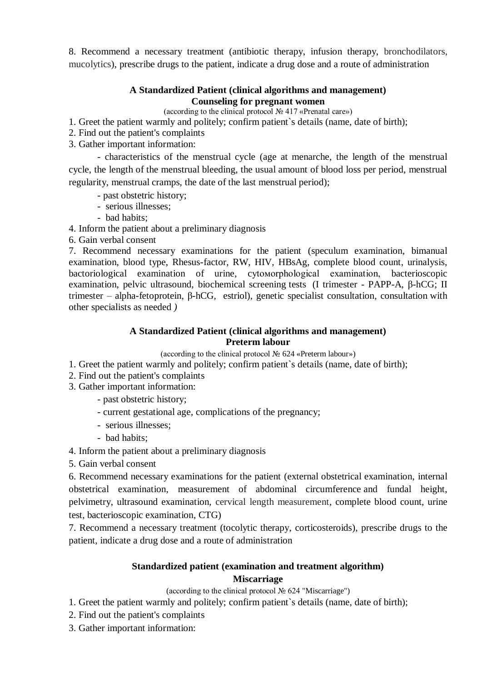8. Recommend a necessary treatment (antibiotic therapy, infusion therapy, bronchodilators, mucolytics), prescribe drugs to the patient, indicate a drug dose and a route of administration

### **A Standardized Patient (clinical algorithms and management) Counseling for pregnant women**

(according to the clinical protocol № 417 «Prenatal care»)

1. Greet the patient warmly and politely; confirm patient`s details (name, date of birth);

- 2. Find out the patient's complaints
- 3. Gather important information:

- characteristics of the menstrual cycle (age at menarche, the length of the menstrual cycle, the length of the menstrual bleeding, the usual amount of blood loss per period, menstrual regularity, menstrual cramps, the date of the last menstrual period);

- past obstetric history;
- serious illnesses;
- bad habits;

4. Inform the patient about a preliminary diagnosis

6. Gain verbal consent

7. Recommend necessary examinations for the patient (speculum examination, bimanual examination, blood type, Rhesus-factor, RW, HIV, HBsAg, complete blood count, urinalysis, bactoriological examination of urine, cytoмorphological examination, bacterioscopic examination, pelvic ultrasound, biochemical screening tests (I trimester - PAPP-A, β-hCG; II trimester – alpha-fetoprotein*,* β-hCG, estriol), genetic specialist consultation*,* consultation with other specialists as needed *)*

## **A Standardized Patient (clinical algorithms and management) Preterm labour**

(according to the clinical protocol № 624 «Preterm labour»)

- 1. Greet the patient warmly and politely; confirm patient`s details (name, date of birth);
- 2. Find out the patient's complaints
- 3. Gather important information:
	- past obstetric history;
	- current gestational age, complications of the pregnancy;
	- serious illnesses;
	- bad habits;
- 4. Inform the patient about a preliminary diagnosis
- 5. Gain verbal consent

6. Recommend necessary examinations for the patient (external obstetrical examination, internal obstetrical examination, measurement of abdominal circumference and fundal height, pelvimetry, ultrasound examination, cervical length measurement, complete blood count, urine test, bacterioscopic examination, CTG)

7. Recommend a necessary treatment (tocolytic therapy, corticosteroids), prescribe drugs to the patient, indicate a drug dose and a route of administration

## **Standardized patient (examination and treatment algorithm) Miscarriage**

(according to the clinical protocol № 624 "Miscarriage")

- 1. Greet the patient warmly and politely; confirm patient`s details (name, date of birth);
- 2. Find out the patient's complaints
- 3. Gather important information: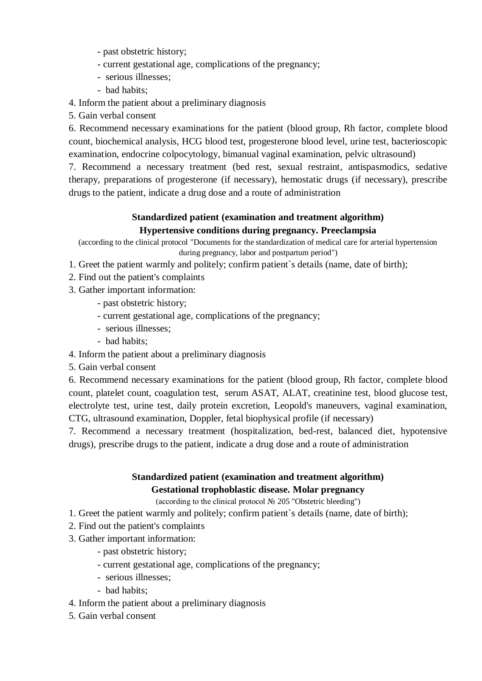- past obstetric history;
- current gestational age, complications of the pregnancy;
- serious illnesses;
- bad habits;

4. Inform the patient about a preliminary diagnosis

5. Gain verbal consent

6. Recommend necessary examinations for the patient (blood group, Rh factor, complete blood count, biochemical analysis, HCG blood test, progesterone blood level, urine test, bacterioscopic examination, endocrine colpocytology, bimanual vaginal examination, pelvic ultrasound)

7. Recommend a necessary treatment (bed rest, sexual restraint, antispasmodics, sedative therapy, preparations of progesterone (if necessary), hemostatic drugs (if necessary), prescribe drugs to the patient, indicate a drug dose and a route of administration

# **Standardized patient (examination and treatment algorithm) Hypertensive conditions during pregnancy. Preeclampsia**

(according to the clinical protocol "Documents for the standardization of medical care for arterial hypertension during pregnancy, labor and postpartum period")

- 1. Greet the patient warmly and politely; confirm patient`s details (name, date of birth);
- 2. Find out the patient's complaints

3. Gather important information:

- past obstetric history;
- current gestational age, complications of the pregnancy;
- serious illnesses;
- bad habits;
- 4. Inform the patient about a preliminary diagnosis
- 5. Gain verbal consent

6. Recommend necessary examinations for the patient (blood group, Rh factor, complete blood count, platelet count, coagulation test, serum ASAT, ALAT, creatinine test, blood glucose test, electrolyte test, urine test, daily protein excretion, Leopold's maneuvers, vaginal examination, CTG, ultrasound examination, Doppler, fetal biophysical profile (if necessary)

7. Recommend a necessary treatment (hospitalization, bed-rest, balanced diet, hypotensive drugs), prescribe drugs to the patient, indicate a drug dose and a route of administration

# **Standardized patient (examination and treatment algorithm) Gestational trophoblastic disease. Molar pregnancy**

(according to the clinical protocol № 205 "Obstetric bleeding")

- 1. Greet the patient warmly and politely; confirm patient`s details (name, date of birth);
- 2. Find out the patient's complaints
- 3. Gather important information:
	- past obstetric history;
	- current gestational age, complications of the pregnancy;
	- serious illnesses;
	- bad habits;
- 4. Inform the patient about a preliminary diagnosis
- 5. Gain verbal consent